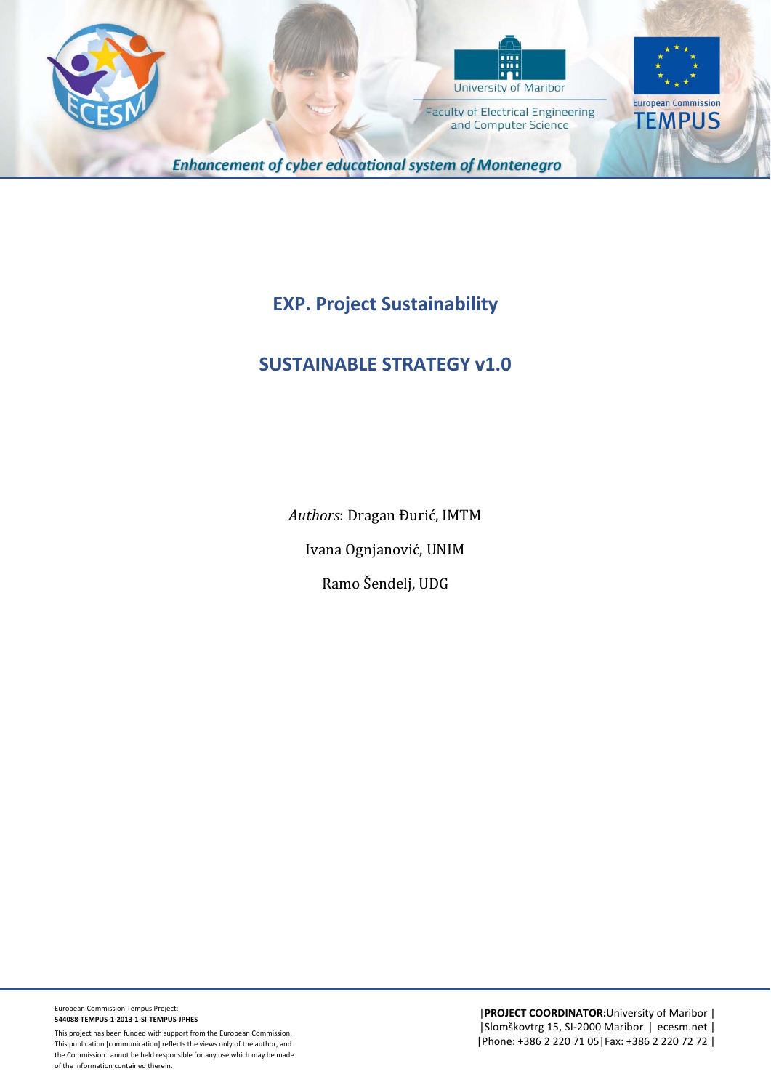



**Faculty of Electrical Engineering** 

and Computer Science

**European Commission TEMPUS** 

**Enhancement of cyber educational system of Montenegro** 

**EXP. Project Sustainability** 

# **SUSTAINABLE STRATEGY v1.0**

Authors: Dragan Đurić, IMTM Ivana Ognjanović, UNIM Ramo Šendelj, UDG

European Commission Tempus Project: **544088‐TEMPUS‐1‐2013‐1‐SI‐TEMPUS‐JPHES**

This project has been funded with support from the European Commission. This publication [communication] reflects the views only of the author, and the Commission cannot be held responsible for any use which may be made of the information contained therein.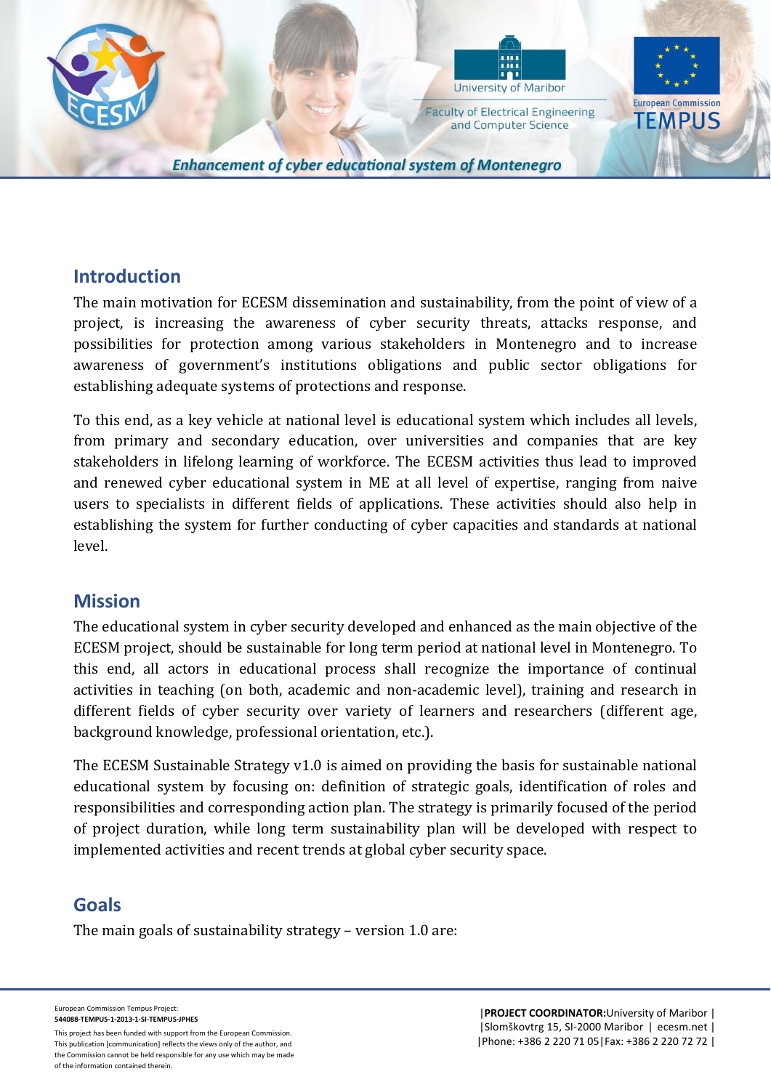

and Computer Science

**European Commission TEMPUS** 

**Enhancement of cyber educational system of Montenegro** 

### **Introduction**

The main motivation for ECESM dissemination and sustainability, from the point of view of a project, is increasing the awareness of cyber security threats, attacks response, and possibilities for protection among various stakeholders in Montenegro and to increase awareness of government's institutions obligations and public sector obligations for establishing adequate systems of protections and response.

To this end, as a key vehicle at national level is educational system which includes all levels, from primary and secondary education, over universities and companies that are key stakeholders in lifelong learning of workforce. The ECESM activities thus lead to improved and renewed cyber educational system in ME at all level of expertise, ranging from naive users to specialists in different fields of applications. These activities should also help in establishing the system for further conducting of cyber capacities and standards at national level. 

### **Mission**

The educational system in cyber security developed and enhanced as the main objective of the ECESM project, should be sustainable for long term period at national level in Montenegro. To this end, all actors in educational process shall recognize the importance of continual activities in teaching (on both, academic and non-academic level), training and research in different fields of cyber security over variety of learners and researchers (different age, background knowledge, professional orientation, etc.).

The ECESM Sustainable Strategy  $v1.0$  is aimed on providing the basis for sustainable national educational system by focusing on: definition of strategic goals, identification of roles and responsibilities and corresponding action plan. The strategy is primarily focused of the period of project duration, while long term sustainability plan will be developed with respect to implemented activities and recent trends at global cyber security space.

## **Goals**

The main goals of sustainability strategy  $-$  version 1.0 are:

European Commission Tempus Project: **544088‐TEMPUS‐1‐2013‐1‐SI‐TEMPUS‐JPHES**

This project has been funded with support from the European Commission. This publication [communication] reflects the views only of the author, and the Commission cannot be held responsible for any use which may be made of the information contained therein.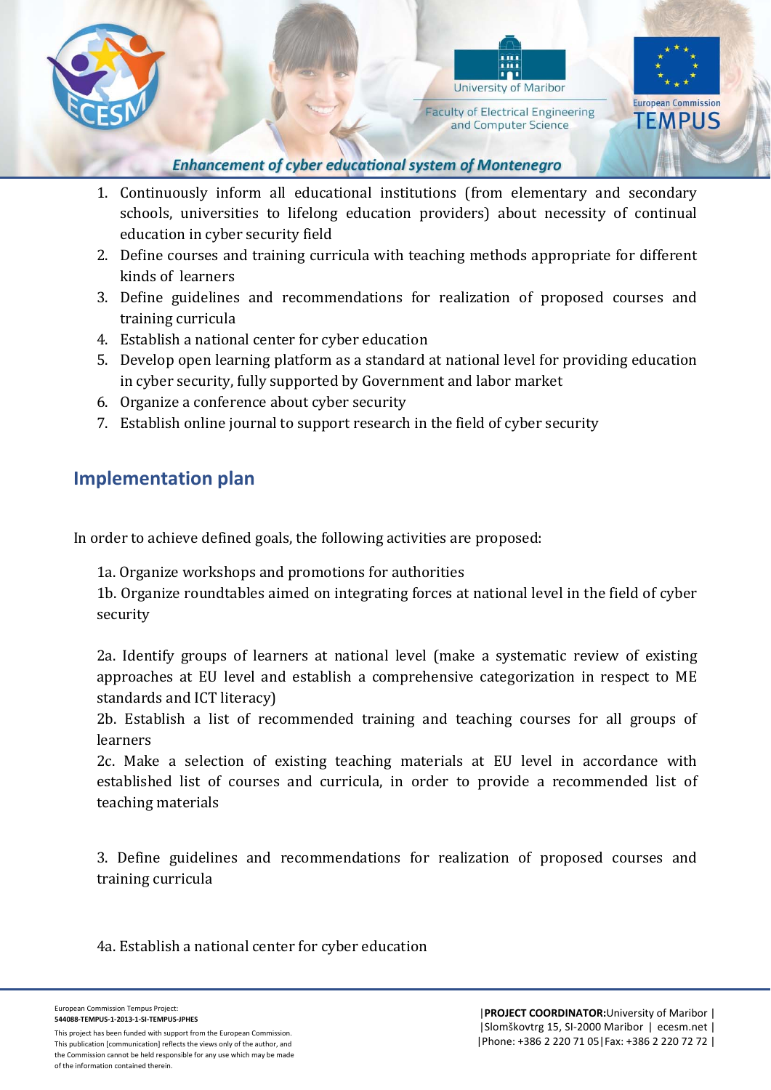



**Faculty of Electrical Engineering** and Computer Science



#### **Enhancement of cyber educational system of Montenegro**

- 1. Continuously inform all educational institutions (from elementary and secondary schools, universities to lifelong education providers) about necessity of continual education in cyber security field
- 2. Define courses and training curricula with teaching methods appropriate for different kinds of learners
- 3. Define guidelines and recommendations for realization of proposed courses and training curricula
- 4. Establish a national center for cyber education
- 5. Develop open learning platform as a standard at national level for providing education in cyber security, fully supported by Government and labor market
- 6. Organize a conference about cyber security
- 7. Establish online journal to support research in the field of cyber security

# **Implementation plan**

In order to achieve defined goals, the following activities are proposed:

1a. Organize workshops and promotions for authorities

1b. Organize roundtables aimed on integrating forces at national level in the field of cyber security 

2a. Identify groups of learners at national level (make a systematic review of existing approaches at EU level and establish a comprehensive categorization in respect to ME standards and ICT literacy)

2b. Establish a list of recommended training and teaching courses for all groups of learners 

2c. Make a selection of existing teaching materials at EU level in accordance with established list of courses and curricula, in order to provide a recommended list of teaching materials

3. Define guidelines and recommendations for realization of proposed courses and training curricula

4a. Establish a national center for cyber education